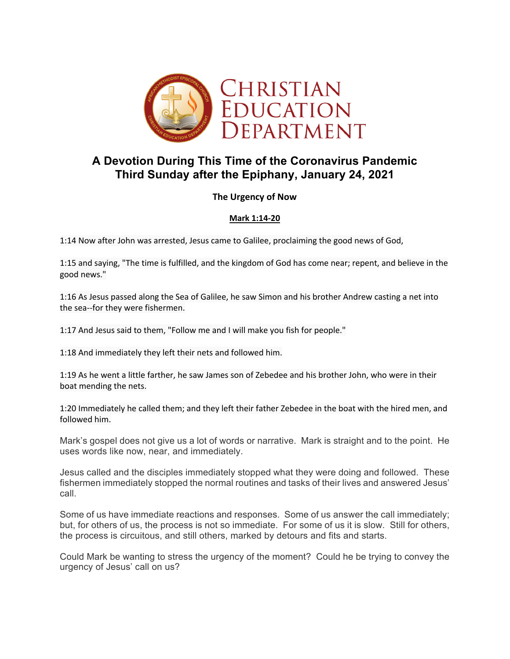

# **A Devotion During This Time of the Coronavirus Pandemic Third Sunday after the Epiphany, January 24, 2021**

# **The Urgency of Now**

# **Mark 1:14-20**

1:14 Now after John was arrested, Jesus came to Galilee, proclaiming the good news of God,

1:15 and saying, "The time is fulfilled, and the kingdom of God has come near; repent, and believe in the good news."

1:16 As Jesus passed along the Sea of Galilee, he saw Simon and his brother Andrew casting a net into the sea--for they were fishermen.

1:17 And Jesus said to them, "Follow me and I will make you fish for people."

1:18 And immediately they left their nets and followed him.

1:19 As he went a little farther, he saw James son of Zebedee and his brother John, who were in their boat mending the nets.

1:20 Immediately he called them; and they left their father Zebedee in the boat with the hired men, and followed him.

Mark's gospel does not give us a lot of words or narrative. Mark is straight and to the point. He uses words like now, near, and immediately.

Jesus called and the disciples immediately stopped what they were doing and followed. These fishermen immediately stopped the normal routines and tasks of their lives and answered Jesus' call.

Some of us have immediate reactions and responses. Some of us answer the call immediately; but, for others of us, the process is not so immediate. For some of us it is slow. Still for others, the process is circuitous, and still others, marked by detours and fits and starts.

Could Mark be wanting to stress the urgency of the moment? Could he be trying to convey the urgency of Jesus' call on us?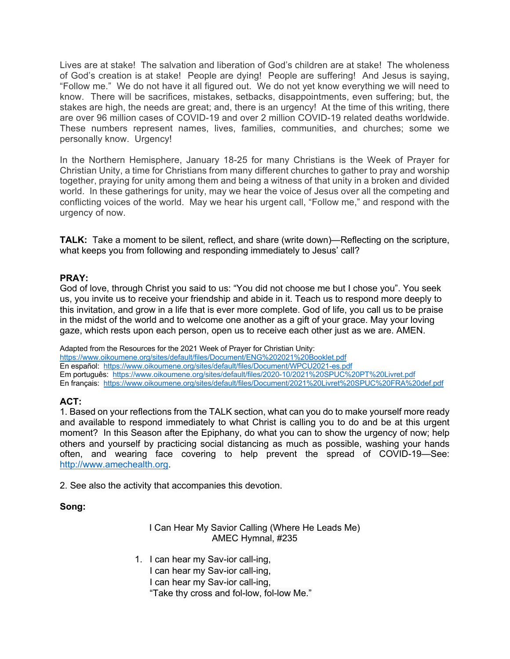Lives are at stake! The salvation and liberation of God's children are at stake! The wholeness of God's creation is at stake! People are dying! People are suffering! And Jesus is saying, "Follow me." We do not have it all figured out. We do not yet know everything we will need to know. There will be sacrifices, mistakes, setbacks, disappointments, even suffering; but, the stakes are high, the needs are great; and, there is an urgency! At the time of this writing, there are over 96 million cases of COVID-19 and over 2 million COVID-19 related deaths worldwide. These numbers represent names, lives, families, communities, and churches; some we personally know. Urgency!

In the Northern Hemisphere, January 18-25 for many Christians is the Week of Prayer for Christian Unity, a time for Christians from many different churches to gather to pray and worship together, praying for unity among them and being a witness of that unity in a broken and divided world. In these gatherings for unity, may we hear the voice of Jesus over all the competing and conflicting voices of the world. May we hear his urgent call, "Follow me," and respond with the urgency of now.

**TALK:** Take a moment to be silent, reflect, and share (write down)—Reflecting on the scripture, what keeps you from following and responding immediately to Jesus' call?

#### **PRAY:**

God of love, through Christ you said to us: "You did not choose me but I chose you". You seek us, you invite us to receive your friendship and abide in it. Teach us to respond more deeply to this invitation, and grow in a life that is ever more complete. God of life, you call us to be praise in the midst of the world and to welcome one another as a gift of your grace. May your loving gaze, which rests upon each person, open us to receive each other just as we are. AMEN.

Adapted from the Resources for the 2021 Week of Prayer for Christian Unity: https://www.oikoumene.org/sites/default/files/Document/ENG%202021%20Booklet.pdf En español: https://www.oikoumene.org/sites/default/files/Document/WPCU2021-es.pdf Em português: https://www.oikoumene.org/sites/default/files/2020-10/2021%20SPUC%20PT%20Livret.pdf En français: https://www.oikoumene.org/sites/default/files/Document/2021%20Livret%20SPUC%20FRA%20def.pdf

# **ACT:**

1. Based on your reflections from the TALK section, what can you do to make yourself more ready and available to respond immediately to what Christ is calling you to do and be at this urgent moment? In this Season after the Epiphany, do what you can to show the urgency of now; help others and yourself by practicing social distancing as much as possible, washing your hands often, and wearing face covering to help prevent the spread of COVID-19—See: http://www.amechealth.org.

2. See also the activity that accompanies this devotion.

# **Song:**

I Can Hear My Savior Calling (Where He Leads Me) AMEC Hymnal, #235

- 1. I can hear my Sav-ior call-ing,
	- I can hear my Sav-ior call-ing,
	- I can hear my Sav-ior call-ing,
	- "Take thy cross and fol-low, fol-low Me."